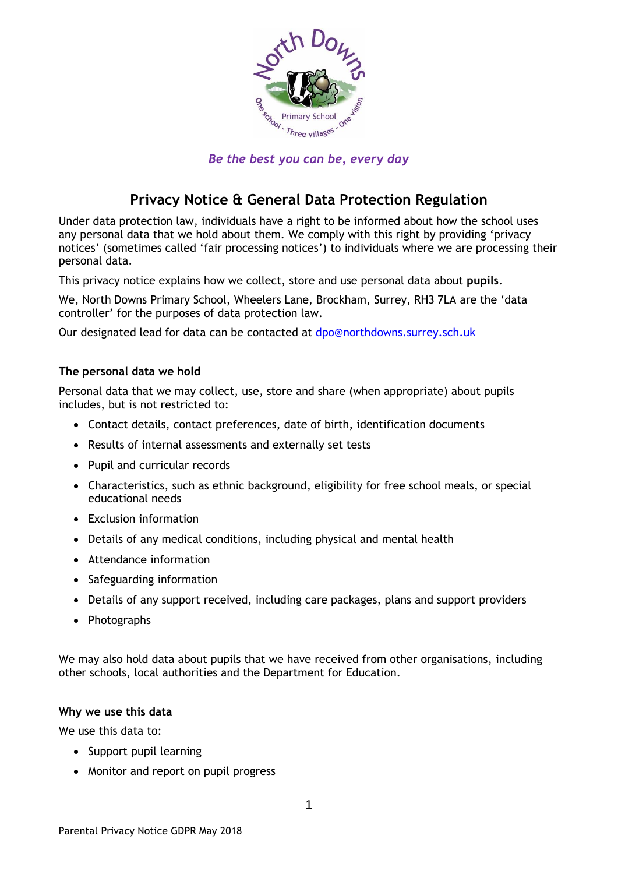

*Be the best you can be, every day*

# **Privacy Notice & General Data Protection Regulation**

Under data protection law, individuals have a right to be informed about how the school uses any personal data that we hold about them. We comply with this right by providing 'privacy notices' (sometimes called 'fair processing notices') to individuals where we are processing their personal data.

This privacy notice explains how we collect, store and use personal data about **pupils**.

We, North Downs Primary School, Wheelers Lane, Brockham, Surrey, RH3 7LA are the 'data controller' for the purposes of data protection law.

Our designated lead for data can be contacted at [dpo@northdowns.surrey.sch.uk](mailto:dpo@northdowns.surrey.sch.uk)

#### **The personal data we hold**

Personal data that we may collect, use, store and share (when appropriate) about pupils includes, but is not restricted to:

- Contact details, contact preferences, date of birth, identification documents
- Results of internal assessments and externally set tests
- Pupil and curricular records
- Characteristics, such as ethnic background, eligibility for free school meals, or special educational needs
- Exclusion information
- Details of any medical conditions, including physical and mental health
- Attendance information
- Safeguarding information
- Details of any support received, including care packages, plans and support providers
- Photographs

We may also hold data about pupils that we have received from other organisations, including other schools, local authorities and the Department for Education.

#### **Why we use this data**

We use this data to:

- Support pupil learning
- Monitor and report on pupil progress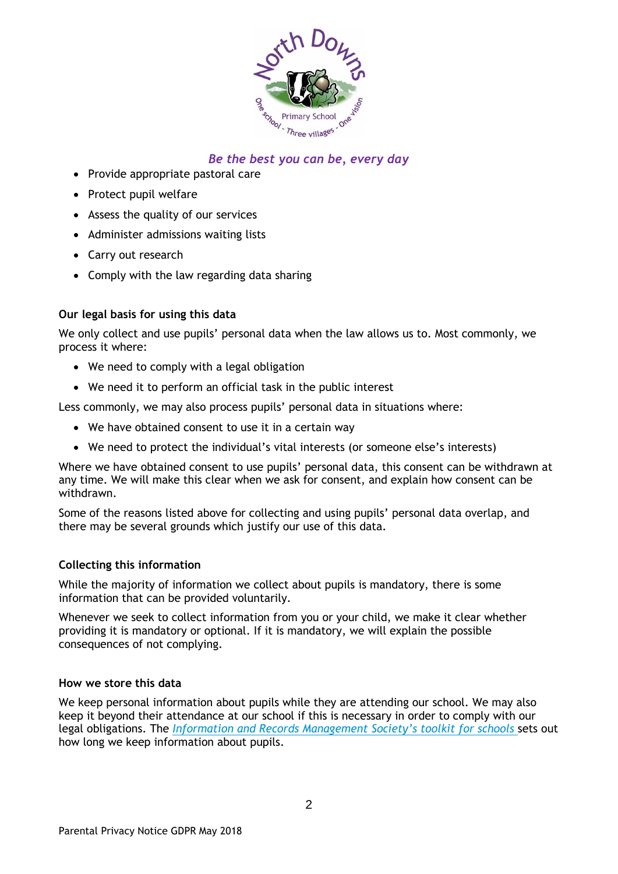

- Provide appropriate pastoral care
- Protect pupil welfare
- Assess the quality of our services
- Administer admissions waiting lists
- Carry out research
- Comply with the law regarding data sharing

### **Our legal basis for using this data**

We only collect and use pupils' personal data when the law allows us to. Most commonly, we process it where:

- We need to comply with a legal obligation
- We need it to perform an official task in the public interest

Less commonly, we may also process pupils' personal data in situations where:

- We have obtained consent to use it in a certain way
- We need to protect the individual's vital interests (or someone else's interests)

Where we have obtained consent to use pupils' personal data, this consent can be withdrawn at any time. We will make this clear when we ask for consent, and explain how consent can be withdrawn.

Some of the reasons listed above for collecting and using pupils' personal data overlap, and there may be several grounds which justify our use of this data.

#### **Collecting this information**

While the majority of information we collect about pupils is mandatory, there is some information that can be provided voluntarily.

Whenever we seek to collect information from you or your child, we make it clear whether providing it is mandatory or optional. If it is mandatory, we will explain the possible consequences of not complying.

#### **How we store this data**

We keep personal information about pupils while they are attending our school. We may also keep it beyond their attendance at our school if this is necessary in order to comply with our legal obligations. The *[Information and Records Management Society's toolkit for schools](http://irms.org.uk/?page=schoolstoolkit&terms=%22toolkit+and+schools%22)* sets out how long we keep information about pupils.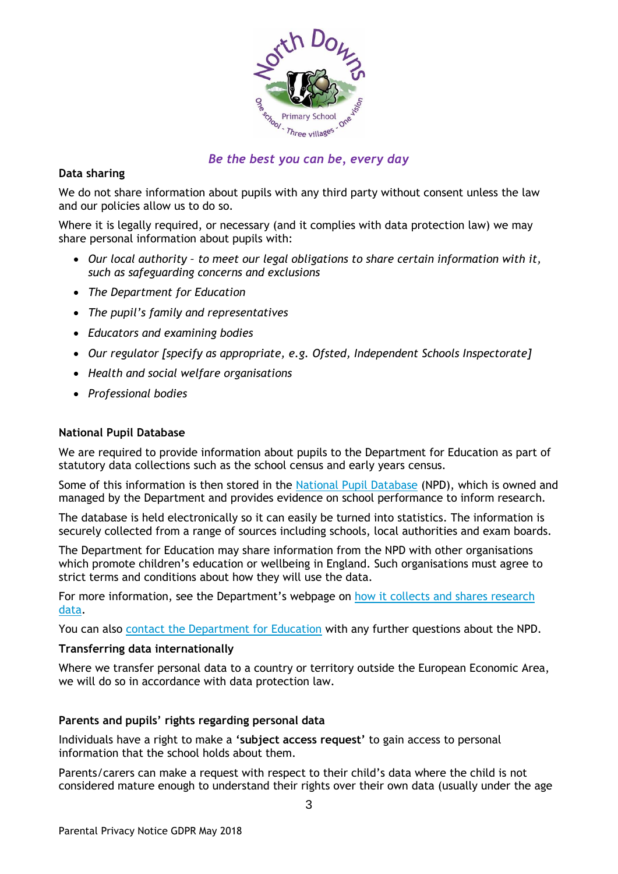

### **Data sharing**

We do not share information about pupils with any third party without consent unless the law and our policies allow us to do so.

Where it is legally required, or necessary (and it complies with data protection law) we may share personal information about pupils with:

- *Our local authority – to meet our legal obligations to share certain information with it, such as safeguarding concerns and exclusions*
- *The Department for Education*
- *The pupil's family and representatives*
- *Educators and examining bodies*
- *Our regulator [specify as appropriate, e.g. Ofsted, Independent Schools Inspectorate]*
- *Health and social welfare organisations*
- *Professional bodies*

#### **National Pupil Database**

We are required to provide information about pupils to the Department for Education as part of statutory data collections such as the school census and early years census.

Some of this information is then stored in the [National Pupil Database](https://www.gov.uk/government/publications/national-pupil-database-user-guide-and-supporting-information) (NPD), which is owned and managed by the Department and provides evidence on school performance to inform research.

The database is held electronically so it can easily be turned into statistics. The information is securely collected from a range of sources including schools, local authorities and exam boards.

The Department for Education may share information from the NPD with other organisations which promote children's education or wellbeing in England. Such organisations must agree to strict terms and conditions about how they will use the data.

For more information, see the Department's webpage on [how it collects and shares research](https://www.gov.uk/data-protection-how-we-collect-and-share-research-data)  [data.](https://www.gov.uk/data-protection-how-we-collect-and-share-research-data)

You can also [contact the Department for Education](https://www.gov.uk/contact-dfe) with any further questions about the NPD.

#### **Transferring data internationally**

Where we transfer personal data to a country or territory outside the European Economic Area, we will do so in accordance with data protection law.

#### **Parents and pupils' rights regarding personal data**

Individuals have a right to make a **'subject access request'** to gain access to personal information that the school holds about them.

Parents/carers can make a request with respect to their child's data where the child is not considered mature enough to understand their rights over their own data (usually under the age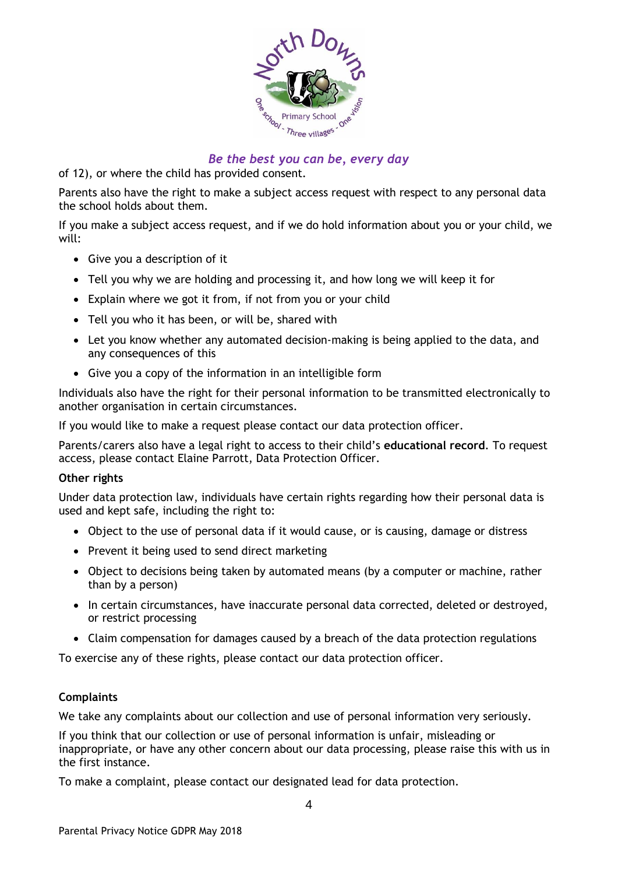

of 12), or where the child has provided consent.

Parents also have the right to make a subject access request with respect to any personal data the school holds about them.

If you make a subject access request, and if we do hold information about you or your child, we will:

- Give you a description of it
- Tell you why we are holding and processing it, and how long we will keep it for
- Explain where we got it from, if not from you or your child
- Tell you who it has been, or will be, shared with
- Let you know whether any automated decision-making is being applied to the data, and any consequences of this
- Give you a copy of the information in an intelligible form

Individuals also have the right for their personal information to be transmitted electronically to another organisation in certain circumstances.

If you would like to make a request please contact our data protection officer.

Parents/carers also have a legal right to access to their child's **educational record**. To request access, please contact Elaine Parrott, Data Protection Officer.

#### **Other rights**

Under data protection law, individuals have certain rights regarding how their personal data is used and kept safe, including the right to:

- Object to the use of personal data if it would cause, or is causing, damage or distress
- Prevent it being used to send direct marketing
- Object to decisions being taken by automated means (by a computer or machine, rather than by a person)
- In certain circumstances, have inaccurate personal data corrected, deleted or destroyed, or restrict processing
- Claim compensation for damages caused by a breach of the data protection regulations

To exercise any of these rights, please contact our data protection officer.

#### **Complaints**

We take any complaints about our collection and use of personal information very seriously.

If you think that our collection or use of personal information is unfair, misleading or inappropriate, or have any other concern about our data processing, please raise this with us in the first instance.

To make a complaint, please contact our designated lead for data protection.